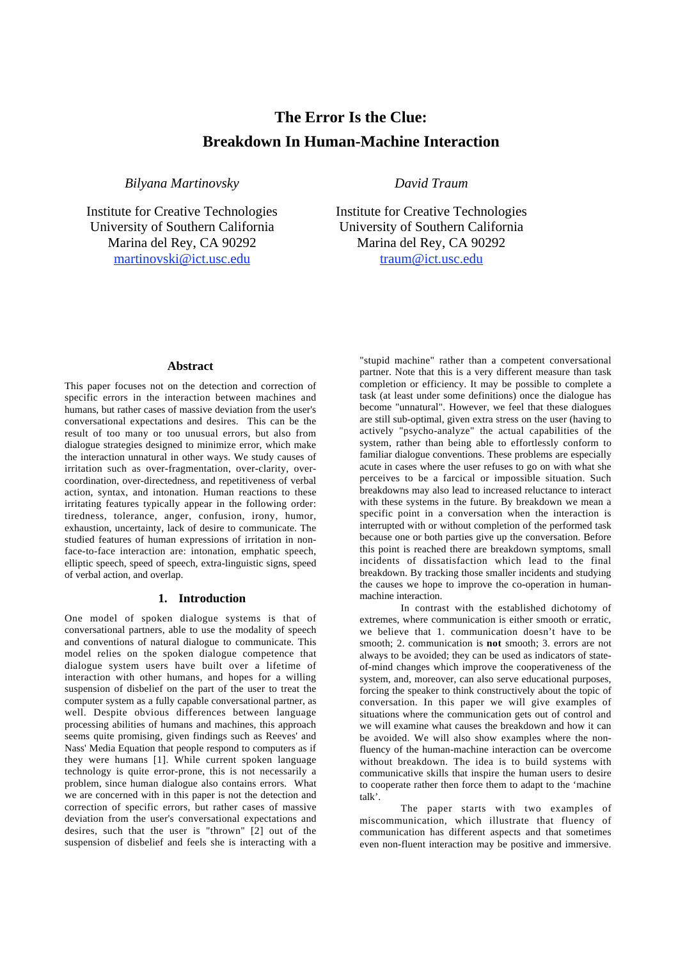# **The Error Is the Clue: Breakdown In Human-Machine Interaction**

*Bilyana Martinovsky*

Institute for Creative Technologies University of Southern California Marina del Rey, CA 90292 martinovski@ict.usc.edu

*David Traum*

Institute for Creative Technologies University of Southern California Marina del Rey, CA 90292 traum@ict.usc.edu

## **Abstract**

This paper focuses not on the detection and correction of specific errors in the interaction between machines and humans, but rather cases of massive deviation from the user's conversational expectations and desires. This can be the result of too many or too unusual errors, but also from dialogue strategies designed to minimize error, which make the interaction unnatural in other ways. We study causes of irritation such as over-fragmentation, over-clarity, overcoordination, over-directedness, and repetitiveness of verbal action, syntax, and intonation. Human reactions to these irritating features typically appear in the following order: tiredness, tolerance, anger, confusion, irony, humor, exhaustion, uncertainty, lack of desire to communicate. The studied features of human expressions of irritation in nonface-to-face interaction are: intonation, emphatic speech, elliptic speech, speed of speech, extra-linguistic signs, speed of verbal action, and overlap.

## **1. Introduction**

One model of spoken dialogue systems is that of conversational partners, able to use the modality of speech and conventions of natural dialogue to communicate. This model relies on the spoken dialogue competence that dialogue system users have built over a lifetime of interaction with other humans, and hopes for a willing suspension of disbelief on the part of the user to treat the computer system as a fully capable conversational partner, as well. Despite obvious differences between language processing abilities of humans and machines, this approach seems quite promising, given findings such as Reeves' and Nass' Media Equation that people respond to computers as if they were humans [1]. While current spoken language technology is quite error-prone, this is not necessarily a problem, since human dialogue also contains errors. What we are concerned with in this paper is not the detection and correction of specific errors, but rather cases of massive deviation from the user's conversational expectations and desires, such that the user is "thrown" [2] out of the suspension of disbelief and feels she is interacting with a

"stupid machine" rather than a competent conversational partner. Note that this is a very different measure than task completion or efficiency. It may be possible to complete a task (at least under some definitions) once the dialogue has become "unnatural". However, we feel that these dialogues are still sub-optimal, given extra stress on the user (having to actively "psycho-analyze" the actual capabilities of the system, rather than being able to effortlessly conform to familiar dialogue conventions. These problems are especially acute in cases where the user refuses to go on with what she perceives to be a farcical or impossible situation. Such breakdowns may also lead to increased reluctance to interact with these systems in the future. By breakdown we mean a specific point in a conversation when the interaction is interrupted with or without completion of the performed task because one or both parties give up the conversation. Before this point is reached there are breakdown symptoms, small incidents of dissatisfaction which lead to the final breakdown. By tracking those smaller incidents and studying the causes we hope to improve the co-operation in humanmachine interaction.

In contrast with the established dichotomy of extremes, where communication is either smooth or erratic, we believe that 1. communication doesn't have to be smooth; 2. communication is **not** smooth; 3. errors are not always to be avoided; they can be used as indicators of stateof-mind changes which improve the cooperativeness of the system, and, moreover, can also serve educational purposes, forcing the speaker to think constructively about the topic of conversation. In this paper we will give examples of situations where the communication gets out of control and we will examine what causes the breakdown and how it can be avoided. We will also show examples where the nonfluency of the human-machine interaction can be overcome without breakdown. The idea is to build systems with communicative skills that inspire the human users to desire to cooperate rather then force them to adapt to the 'machine talk'.

The paper starts with two examples of miscommunication, which illustrate that fluency of communication has different aspects and that sometimes even non-fluent interaction may be positive and immersive.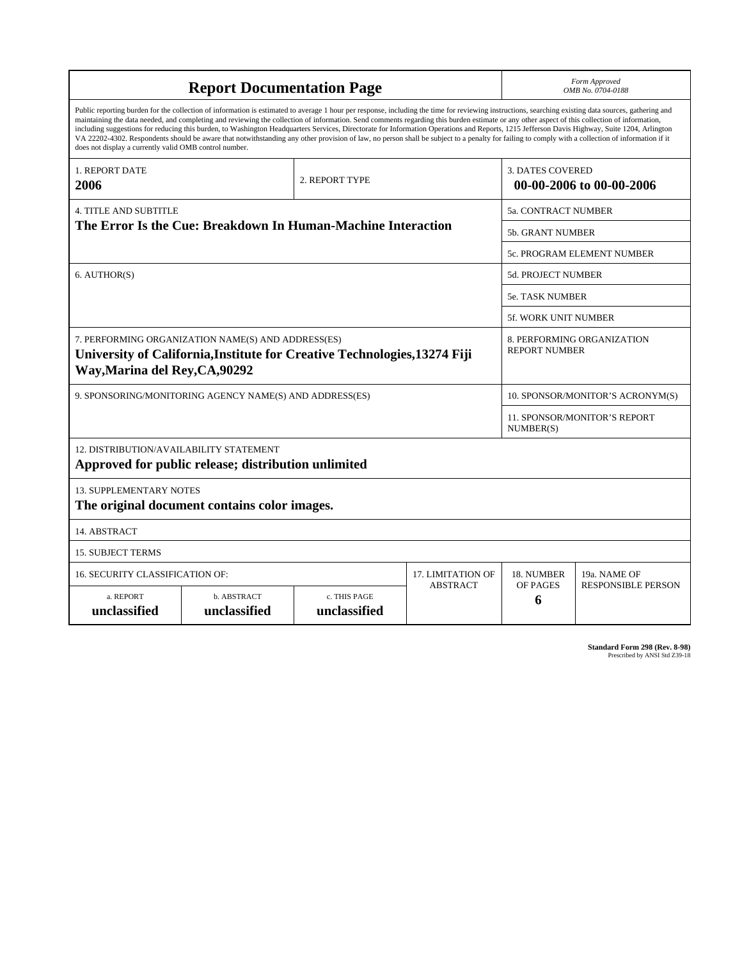| <b>Report Documentation Page</b>                                                                                                                                                                                                                                                                                                                                                                                                                                                                                                                                                                                                                                                                                                                                                                                                                                   |                             |                              |                 |                                                     | Form Approved<br>OMB No. 0704-0188                 |  |  |
|--------------------------------------------------------------------------------------------------------------------------------------------------------------------------------------------------------------------------------------------------------------------------------------------------------------------------------------------------------------------------------------------------------------------------------------------------------------------------------------------------------------------------------------------------------------------------------------------------------------------------------------------------------------------------------------------------------------------------------------------------------------------------------------------------------------------------------------------------------------------|-----------------------------|------------------------------|-----------------|-----------------------------------------------------|----------------------------------------------------|--|--|
| Public reporting burden for the collection of information is estimated to average 1 hour per response, including the time for reviewing instructions, searching existing data sources, gathering and<br>maintaining the data needed, and completing and reviewing the collection of information. Send comments regarding this burden estimate or any other aspect of this collection of information,<br>including suggestions for reducing this burden, to Washington Headquarters Services, Directorate for Information Operations and Reports, 1215 Jefferson Davis Highway, Suite 1204, Arlington<br>VA 22202-4302. Respondents should be aware that notwithstanding any other provision of law, no person shall be subject to a penalty for failing to comply with a collection of information if it<br>does not display a currently valid OMB control number. |                             |                              |                 |                                                     |                                                    |  |  |
| <b>1. REPORT DATE</b><br>2006                                                                                                                                                                                                                                                                                                                                                                                                                                                                                                                                                                                                                                                                                                                                                                                                                                      |                             | 2. REPORT TYPE               |                 | <b>3. DATES COVERED</b><br>00-00-2006 to 00-00-2006 |                                                    |  |  |
| <b>4. TITLE AND SUBTITLE</b>                                                                                                                                                                                                                                                                                                                                                                                                                                                                                                                                                                                                                                                                                                                                                                                                                                       |                             |                              |                 |                                                     | 5a. CONTRACT NUMBER                                |  |  |
| The Error Is the Cue: Breakdown In Human-Machine Interaction                                                                                                                                                                                                                                                                                                                                                                                                                                                                                                                                                                                                                                                                                                                                                                                                       |                             |                              |                 |                                                     | 5b. GRANT NUMBER                                   |  |  |
|                                                                                                                                                                                                                                                                                                                                                                                                                                                                                                                                                                                                                                                                                                                                                                                                                                                                    |                             |                              |                 |                                                     | 5c. PROGRAM ELEMENT NUMBER                         |  |  |
| 6. AUTHOR(S)                                                                                                                                                                                                                                                                                                                                                                                                                                                                                                                                                                                                                                                                                                                                                                                                                                                       |                             |                              |                 |                                                     | <b>5d. PROJECT NUMBER</b>                          |  |  |
|                                                                                                                                                                                                                                                                                                                                                                                                                                                                                                                                                                                                                                                                                                                                                                                                                                                                    |                             |                              |                 |                                                     | <b>5e. TASK NUMBER</b>                             |  |  |
|                                                                                                                                                                                                                                                                                                                                                                                                                                                                                                                                                                                                                                                                                                                                                                                                                                                                    |                             |                              |                 |                                                     | 5f. WORK UNIT NUMBER                               |  |  |
| 7. PERFORMING ORGANIZATION NAME(S) AND ADDRESS(ES)<br>University of California, Institute for Creative Technologies, 13274 Fiji<br>Way, Marina del Rey, CA, 90292                                                                                                                                                                                                                                                                                                                                                                                                                                                                                                                                                                                                                                                                                                  |                             |                              |                 |                                                     | 8. PERFORMING ORGANIZATION<br><b>REPORT NUMBER</b> |  |  |
| 9. SPONSORING/MONITORING AGENCY NAME(S) AND ADDRESS(ES)                                                                                                                                                                                                                                                                                                                                                                                                                                                                                                                                                                                                                                                                                                                                                                                                            |                             |                              |                 |                                                     | 10. SPONSOR/MONITOR'S ACRONYM(S)                   |  |  |
|                                                                                                                                                                                                                                                                                                                                                                                                                                                                                                                                                                                                                                                                                                                                                                                                                                                                    |                             |                              |                 |                                                     | <b>11. SPONSOR/MONITOR'S REPORT</b><br>NUMBER(S)   |  |  |
| 12. DISTRIBUTION/AVAILABILITY STATEMENT<br>Approved for public release; distribution unlimited                                                                                                                                                                                                                                                                                                                                                                                                                                                                                                                                                                                                                                                                                                                                                                     |                             |                              |                 |                                                     |                                                    |  |  |
| <b>13. SUPPLEMENTARY NOTES</b><br>The original document contains color images.                                                                                                                                                                                                                                                                                                                                                                                                                                                                                                                                                                                                                                                                                                                                                                                     |                             |                              |                 |                                                     |                                                    |  |  |
| 14. ABSTRACT                                                                                                                                                                                                                                                                                                                                                                                                                                                                                                                                                                                                                                                                                                                                                                                                                                                       |                             |                              |                 |                                                     |                                                    |  |  |
| <b>15. SUBJECT TERMS</b>                                                                                                                                                                                                                                                                                                                                                                                                                                                                                                                                                                                                                                                                                                                                                                                                                                           |                             |                              |                 |                                                     |                                                    |  |  |
| 16. SECURITY CLASSIFICATION OF:                                                                                                                                                                                                                                                                                                                                                                                                                                                                                                                                                                                                                                                                                                                                                                                                                                    | 17. LIMITATION OF           | 18. NUMBER                   | 19a. NAME OF    |                                                     |                                                    |  |  |
| a. REPORT<br>unclassified                                                                                                                                                                                                                                                                                                                                                                                                                                                                                                                                                                                                                                                                                                                                                                                                                                          | b. ABSTRACT<br>unclassified | c. THIS PAGE<br>unclassified | <b>ABSTRACT</b> | OF PAGES<br>6                                       | <b>RESPONSIBLE PERSON</b>                          |  |  |

| Standard Form 298 (Rev. 8-98) |                               |  |  |
|-------------------------------|-------------------------------|--|--|
|                               | Prescribed by ANSI Std Z39-18 |  |  |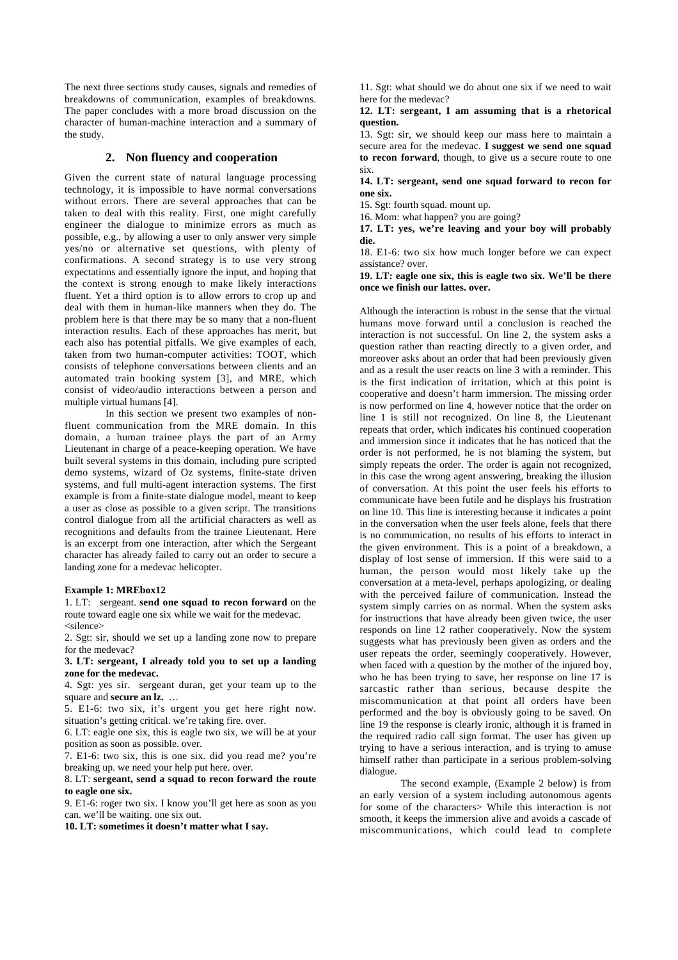The next three sections study causes, signals and remedies of breakdowns of communication, examples of breakdowns. The paper concludes with a more broad discussion on the character of human-machine interaction and a summary of the study.

## **2. Non fluency and cooperation**

Given the current state of natural language processing technology, it is impossible to have normal conversations without errors. There are several approaches that can be taken to deal with this reality. First, one might carefully engineer the dialogue to minimize errors as much as possible, e.g., by allowing a user to only answer very simple yes/no or alternative set questions, with plenty of confirmations. A second strategy is to use very strong expectations and essentially ignore the input, and hoping that the context is strong enough to make likely interactions fluent. Yet a third option is to allow errors to crop up and deal with them in human-like manners when they do. The problem here is that there may be so many that a non-fluent interaction results. Each of these approaches has merit, but each also has potential pitfalls. We give examples of each, taken from two human-computer activities: TOOT, which consists of telephone conversations between clients and an automated train booking system [3], and MRE, which consist of video/audio interactions between a person and multiple virtual humans [4].

In this section we present two examples of nonfluent communication from the MRE domain. In this domain, a human trainee plays the part of an Army Lieutenant in charge of a peace-keeping operation. We have built several systems in this domain, including pure scripted demo systems, wizard of Oz systems, finite-state driven systems, and full multi-agent interaction systems. The first example is from a finite-state dialogue model, meant to keep a user as close as possible to a given script. The transitions control dialogue from all the artificial characters as well as recognitions and defaults from the trainee Lieutenant. Here is an excerpt from one interaction, after which the Sergeant character has already failed to carry out an order to secure a landing zone for a medevac helicopter.

#### **Example 1: MREbox12**

1. LT: sergeant. **send one squad to recon forward** on the route toward eagle one six while we wait for the medevac. <silence>

2. Sgt: sir, should we set up a landing zone now to prepare for the medevac?

**3. LT: sergeant, I already told you to set up a landing zone for the medevac.**

4. Sgt: yes sir. sergeant duran, get your team up to the square and **secure an lz.** …

5. E1-6: two six, it's urgent you get here right now. situation's getting critical. we're taking fire. over.

6. LT: eagle one six, this is eagle two six, we will be at your position as soon as possible. over.

7. E1-6: two six, this is one six. did you read me? you're breaking up. we need your help put here. over.

8. LT: **sergeant, send a squad to recon forward the route to eagle one six.**

9. E1-6: roger two six. I know you'll get here as soon as you can. we'll be waiting. one six out.

**10. LT: sometimes it doesn't matter what I say.**

11. Sgt: what should we do about one six if we need to wait here for the medevac?

#### **12. LT: sergeant, I am assuming that is a rhetorical question.**

13. Sgt: sir, we should keep our mass here to maintain a secure area for the medevac. **I suggest we send one squad to recon forward**, though, to give us a secure route to one six.

**14. LT: sergeant, send one squad forward to recon for one six.**

15. Sgt: fourth squad. mount up.

16. Mom: what happen? you are going?

**17. LT: yes, we're leaving and your boy will probably die.**

18. E1-6: two six how much longer before we can expect assistance? over.

**19. LT: eagle one six, this is eagle two six. We'll be there once we finish our lattes. over.**

Although the interaction is robust in the sense that the virtual humans move forward until a conclusion is reached the interaction is not successful. On line 2, the system asks a question rather than reacting directly to a given order, and moreover asks about an order that had been previously given and as a result the user reacts on line 3 with a reminder. This is the first indication of irritation, which at this point is cooperative and doesn't harm immersion. The missing order is now performed on line 4, however notice that the order on line 1 is still not recognized. On line 8, the Lieutenant repeats that order, which indicates his continued cooperation and immersion since it indicates that he has noticed that the order is not performed, he is not blaming the system, but simply repeats the order. The order is again not recognized. in this case the wrong agent answering, breaking the illusion of conversation. At this point the user feels his efforts to communicate have been futile and he displays his frustration on line 10. This line is interesting because it indicates a point in the conversation when the user feels alone, feels that there is no communication, no results of his efforts to interact in the given environment. This is a point of a breakdown, a display of lost sense of immersion. If this were said to a human, the person would most likely take up the conversation at a meta-level, perhaps apologizing, or dealing with the perceived failure of communication. Instead the system simply carries on as normal. When the system asks for instructions that have already been given twice, the user responds on line 12 rather cooperatively. Now the system suggests what has previously been given as orders and the user repeats the order, seemingly cooperatively. However, when faced with a question by the mother of the injured boy, who he has been trying to save, her response on line 17 is sarcastic rather than serious, because despite the miscommunication at that point all orders have been performed and the boy is obviously going to be saved. On line 19 the response is clearly ironic, although it is framed in the required radio call sign format. The user has given up trying to have a serious interaction, and is trying to amuse himself rather than participate in a serious problem-solving dialogue.

The second example, (Example 2 below) is from an early version of a system including autonomous agents for some of the characters> While this interaction is not smooth, it keeps the immersion alive and avoids a cascade of miscommunications, which could lead to complete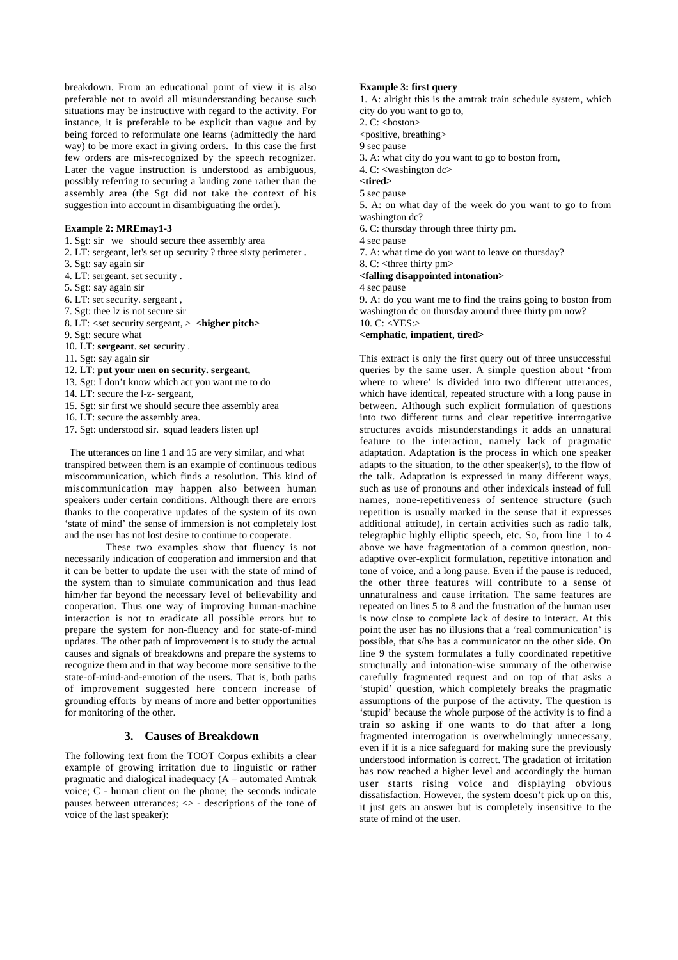breakdown. From an educational point of view it is also preferable not to avoid all misunderstanding because such situations may be instructive with regard to the activity. For instance, it is preferable to be explicit than vague and by being forced to reformulate one learns (admittedly the hard way) to be more exact in giving orders. In this case the first few orders are mis-recognized by the speech recognizer. Later the vague instruction is understood as ambiguous, possibly referring to securing a landing zone rather than the assembly area (the Sgt did not take the context of his suggestion into account in disambiguating the order).

### **Example 2: MREmay1-3**

- 1. Sgt: sir we should secure thee assembly area
- 2. LT: sergeant, let's set up security ? three sixty perimeter .
- 3. Sgt: say again sir
- 4. LT: sergeant. set security .
- 5. Sgt: say again sir
- 6. LT: set security. sergeant ,
- 7. Sgt: thee lz is not secure sir
- 8. LT: <set security sergeant, > **<higher pitch>**
- 9. Sgt: secure what
- 10. LT: **sergeant**. set security .
- 11. Sgt: say again sir
- 12. LT: **put your men on security. sergeant,**
- 13. Sgt: I don't know which act you want me to do
- 14. LT: secure the l-z- sergeant,
- 15. Sgt: sir first we should secure thee assembly area
- 16. LT: secure the assembly area.
- 17. Sgt: understood sir. squad leaders listen up!

 The utterances on line 1 and 15 are very similar, and what transpired between them is an example of continuous tedious miscommunication, which finds a resolution. This kind of miscommunication may happen also between human speakers under certain conditions. Although there are errors thanks to the cooperative updates of the system of its own 'state of mind' the sense of immersion is not completely lost and the user has not lost desire to continue to cooperate.

These two examples show that fluency is not necessarily indication of cooperation and immersion and that it can be better to update the user with the state of mind of the system than to simulate communication and thus lead him/her far beyond the necessary level of believability and cooperation. Thus one way of improving human-machine interaction is not to eradicate all possible errors but to prepare the system for non-fluency and for state-of-mind updates. The other path of improvement is to study the actual causes and signals of breakdowns and prepare the systems to recognize them and in that way become more sensitive to the state-of-mind-and-emotion of the users. That is, both paths of improvement suggested here concern increase of grounding efforts by means of more and better opportunities for monitoring of the other.

## **3. Causes of Breakdown**

The following text from the TOOT Corpus exhibits a clear example of growing irritation due to linguistic or rather pragmatic and dialogical inadequacy (A – automated Amtrak voice; C - human client on the phone; the seconds indicate pauses between utterances;  $\langle \rangle$  - descriptions of the tone of voice of the last speaker):

#### **Example 3: first query**

1. A: alright this is the amtrak train schedule system, which city do you want to go to,

- 2.  $C: **host**on>$
- <positive, breathing>
- 9 sec pause
- 3. A: what city do you want to go to boston from,
- 4. C: <washington dc>

**<tired>**

5 sec pause

5. A: on what day of the week do you want to go to from washington dc?

- 6. C: thursday through three thirty pm.
- 4 sec pause
- 7. A: what time do you want to leave on thursday?
- 8. C: <three thirty pm>

#### **<falling disappointed intonation>**

#### 4 sec pause

9. A: do you want me to find the trains going to boston from washington dc on thursday around three thirty pm now?  $10 \text{ C}$ :  $\langle$ YES: $>$ 

#### **<emphatic, impatient, tired>**

This extract is only the first query out of three unsuccessful queries by the same user. A simple question about 'from where to where' is divided into two different utterances, which have identical, repeated structure with a long pause in between. Although such explicit formulation of questions into two different turns and clear repetitive interrogative structures avoids misunderstandings it adds an unnatural feature to the interaction, namely lack of pragmatic adaptation. Adaptation is the process in which one speaker adapts to the situation, to the other speaker(s), to the flow of the talk. Adaptation is expressed in many different ways, such as use of pronouns and other indexicals instead of full names, none-repetitiveness of sentence structure (such repetition is usually marked in the sense that it expresses additional attitude), in certain activities such as radio talk, telegraphic highly elliptic speech, etc. So, from line 1 to 4 above we have fragmentation of a common question, nonadaptive over-explicit formulation, repetitive intonation and tone of voice, and a long pause. Even if the pause is reduced, the other three features will contribute to a sense of unnaturalness and cause irritation. The same features are repeated on lines 5 to 8 and the frustration of the human user is now close to complete lack of desire to interact. At this point the user has no illusions that a 'real communication' is possible, that s/he has a communicator on the other side. On line 9 the system formulates a fully coordinated repetitive structurally and intonation-wise summary of the otherwise carefully fragmented request and on top of that asks a 'stupid' question, which completely breaks the pragmatic assumptions of the purpose of the activity. The question is 'stupid' because the whole purpose of the activity is to find a train so asking if one wants to do that after a long fragmented interrogation is overwhelmingly unnecessary, even if it is a nice safeguard for making sure the previously understood information is correct. The gradation of irritation has now reached a higher level and accordingly the human user starts rising voice and displaying obvious dissatisfaction. However, the system doesn't pick up on this, it just gets an answer but is completely insensitive to the state of mind of the user.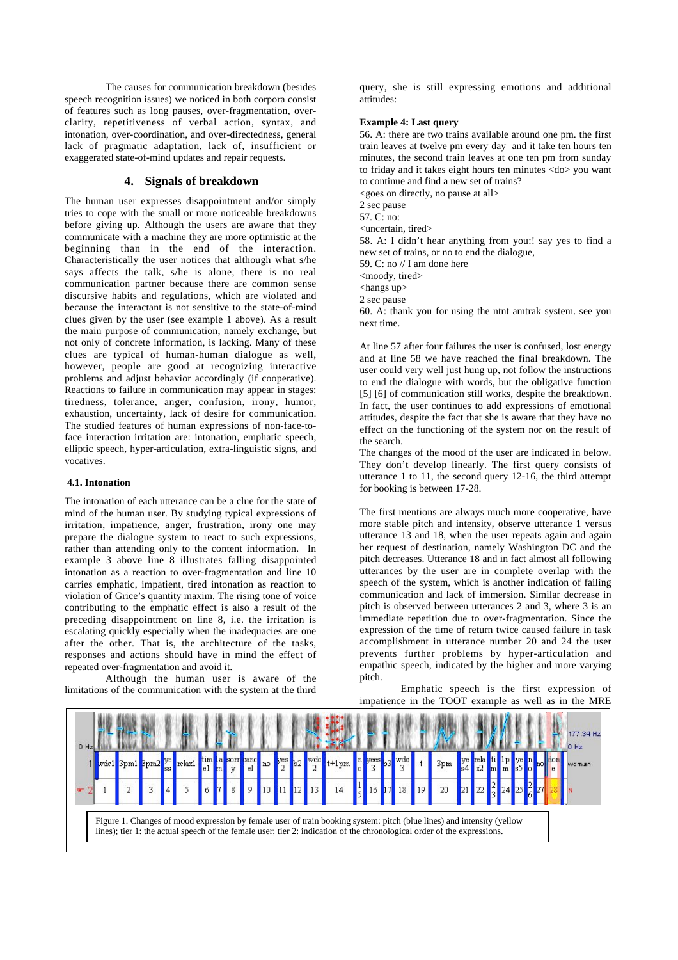The causes for communication breakdown (besides speech recognition issues) we noticed in both corpora consist of features such as long pauses, over-fragmentation, overclarity, repetitiveness of verbal action, syntax, and intonation, over-coordination, and over-directedness, general lack of pragmatic adaptation, lack of, insufficient or exaggerated state-of-mind updates and repair requests.

## **4. Signals of breakdown**

The human user expresses disappointment and/or simply tries to cope with the small or more noticeable breakdowns before giving up. Although the users are aware that they communicate with a machine they are more optimistic at the beginning than in the end of the interaction. Characteristically the user notices that although what s/he says affects the talk, s/he is alone, there is no real communication partner because there are common sense discursive habits and regulations, which are violated and because the interactant is not sensitive to the state-of-mind clues given by the user (see example 1 above). As a result the main purpose of communication, namely exchange, but not only of concrete information, is lacking. Many of these clues are typical of human-human dialogue as well, however, people are good at recognizing interactive problems and adjust behavior accordingly (if cooperative). Reactions to failure in communication may appear in stages: tiredness, tolerance, anger, confusion, irony, humor, exhaustion, uncertainty, lack of desire for communication. The studied features of human expressions of non-face-toface interaction irritation are: intonation, emphatic speech, elliptic speech, hyper-articulation, extra-linguistic signs, and vocatives.

#### **4.1. Intonation**

The intonation of each utterance can be a clue for the state of mind of the human user. By studying typical expressions of irritation, impatience, anger, frustration, irony one may prepare the dialogue system to react to such expressions, rather than attending only to the content information. In example 3 above line 8 illustrates falling disappointed intonation as a reaction to over-fragmentation and line 10 carries emphatic, impatient, tired intonation as reaction to violation of Grice's quantity maxim. The rising tone of voice contributing to the emphatic effect is also a result of the preceding disappointment on line 8, i.e. the irritation is escalating quickly especially when the inadequacies are one after the other. That is, the architecture of the tasks, responses and actions should have in mind the effect of repeated over-fragmentation and avoid it.

Although the human user is aware of the limitations of the communication with the system at the third query, she is still expressing emotions and additional attitudes:

## **Example 4: Last query**

56. A: there are two trains available around one pm. the first train leaves at twelve pm every day and it take ten hours ten minutes, the second train leaves at one ten pm from sunday to friday and it takes eight hours ten minutes <do> you want to continue and find a new set of trains? <goes on directly, no pause at all>

2 sec pause

57. C: no:

<uncertain, tired>

58. A: I didn't hear anything from you:! say yes to find a new set of trains, or no to end the dialogue,

59. C: no // I am done here

<moody, tired>

<hangs up>

2 sec pause

60. A: thank you for using the ntnt amtrak system. see you next time.

At line 57 after four failures the user is confused, lost energy and at line 58 we have reached the final breakdown. The user could very well just hung up, not follow the instructions to end the dialogue with words, but the obligative function [5] [6] of communication still works, despite the breakdown. In fact, the user continues to add expressions of emotional attitudes, despite the fact that she is aware that they have no effect on the functioning of the system nor on the result of the search.

The changes of the mood of the user are indicated in below. They don't develop linearly. The first query consists of utterance 1 to 11, the second query 12-16, the third attempt for booking is between 17-28.

The first mentions are always much more cooperative, have more stable pitch and intensity, observe utterance 1 versus utterance 13 and 18, when the user repeats again and again her request of destination, namely Washington DC and the pitch decreases. Utterance 18 and in fact almost all following utterances by the user are in complete overlap with the speech of the system, which is another indication of failing communication and lack of immersion. Similar decrease in pitch is observed between utterances 2 and 3, where 3 is an immediate repetition due to over-fragmentation. Since the expression of the time of return twice caused failure in task accomplishment in utterance number 20 and 24 the user prevents further problems by hyper-articulation and empathic speech, indicated by the higher and more varying pitch.

Emphatic speech is the first expression of impatience in the TOOT example as well as in the MRE

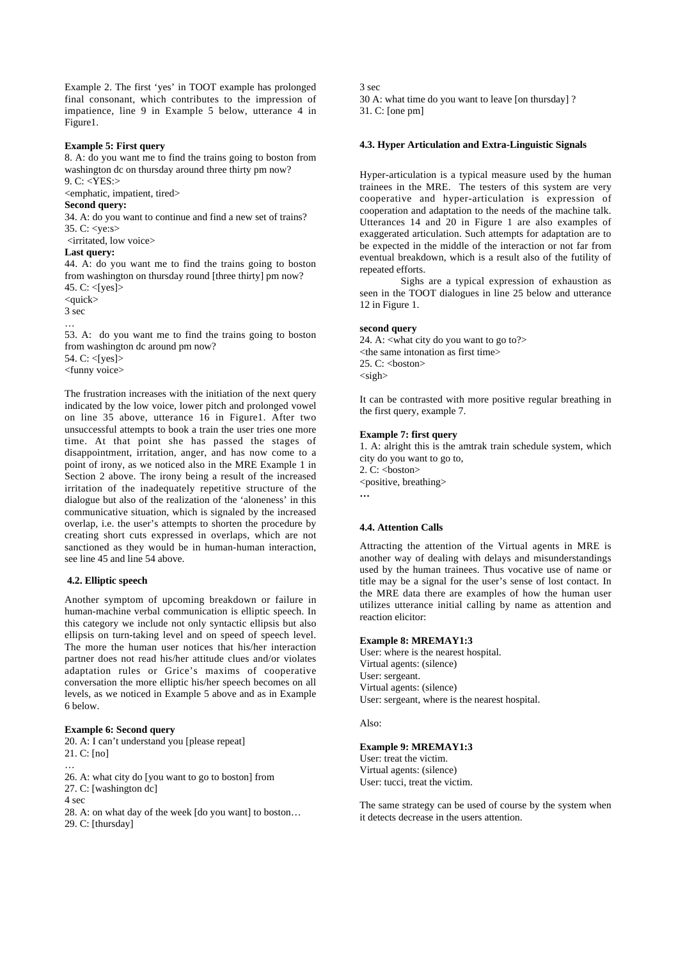Example 2. The first 'yes' in TOOT example has prolonged final consonant, which contributes to the impression of impatience, line 9 in Example 5 below, utterance 4 in Figure1.

#### **Example 5: First query**

8. A: do you want me to find the trains going to boston from washington dc on thursday around three thirty pm now? 9. C: <YES:>

<emphatic, impatient, tired>

## **Second query:**

34. A: do you want to continue and find a new set of trains? 35. C: <ye:s>

#### <irritated, low voice>

#### **Last query:**

44. A: do you want me to find the trains going to boston from washington on thursday round [three thirty] pm now? 45. C: <[yes]>

 $\langle \text{quick} \rangle$ 

3 sec

…

53. A: do you want me to find the trains going to boston from washington dc around pm now? 54. C:  $<$ [ves] $>$ <funny voice>

The frustration increases with the initiation of the next query indicated by the low voice, lower pitch and prolonged vowel on line 35 above, utterance 16 in Figure1. After two unsuccessful attempts to book a train the user tries one more time. At that point she has passed the stages of disappointment, irritation, anger, and has now come to a point of irony, as we noticed also in the MRE Example 1 in Section 2 above. The irony being a result of the increased irritation of the inadequately repetitive structure of the dialogue but also of the realization of the 'aloneness' in this communicative situation, which is signaled by the increased overlap, i.e. the user's attempts to shorten the procedure by creating short cuts expressed in overlaps, which are not sanctioned as they would be in human-human interaction, see line 45 and line 54 above.

## **4.2. Elliptic speech**

Another symptom of upcoming breakdown or failure in human-machine verbal communication is elliptic speech. In this category we include not only syntactic ellipsis but also ellipsis on turn-taking level and on speed of speech level. The more the human user notices that his/her interaction partner does not read his/her attitude clues and/or violates adaptation rules or Grice's maxims of cooperative conversation the more elliptic his/her speech becomes on all levels, as we noticed in Example 5 above and as in Example 6 below.

### **Example 6: Second query**

20. A: I can't understand you [please repeat] 21. C: [no]

…

26. A: what city do [you want to go to boston] from

27. C: [washington dc]

4 sec

28. A: on what day of the week [do you want] to boston… 29. C: [thursday]

3 sec 30 A: what time do you want to leave [on thursday] ? 31. C: [one pm]

## **4.3. Hyper Articulation and Extra-Linguistic Signals**

Hyper-articulation is a typical measure used by the human trainees in the MRE. The testers of this system are very cooperative and hyper-articulation is expression of cooperation and adaptation to the needs of the machine talk. Utterances 14 and 20 in Figure 1 are also examples of exaggerated articulation. Such attempts for adaptation are to be expected in the middle of the interaction or not far from eventual breakdown, which is a result also of the futility of repeated efforts.

Sighs are a typical expression of exhaustion as seen in the TOOT dialogues in line 25 below and utterance 12 in Figure 1.

#### **second query**

24. A: <what city do you want to go to?> <the same intonation as first time>  $25.$  C:  $$  $<$ sigh $>$ 

It can be contrasted with more positive regular breathing in the first query, example 7.

#### **Example 7: first query**

1. A: alright this is the amtrak train schedule system, which city do you want to go to, 2. C: <br/>boston> <positive, breathing> **…**

#### **4.4. Attention Calls**

Attracting the attention of the Virtual agents in MRE is another way of dealing with delays and misunderstandings used by the human trainees. Thus vocative use of name or title may be a signal for the user's sense of lost contact. In the MRE data there are examples of how the human user utilizes utterance initial calling by name as attention and reaction elicitor:

#### **Example 8: MREMAY1:3**

User: where is the nearest hospital. Virtual agents: (silence) User: sergeant. Virtual agents: (silence) User: sergeant, where is the nearest hospital.

#### Also:

## **Example 9: MREMAY1:3**

User: treat the victim. Virtual agents: (silence) User: tucci, treat the victim.

The same strategy can be used of course by the system when it detects decrease in the users attention.